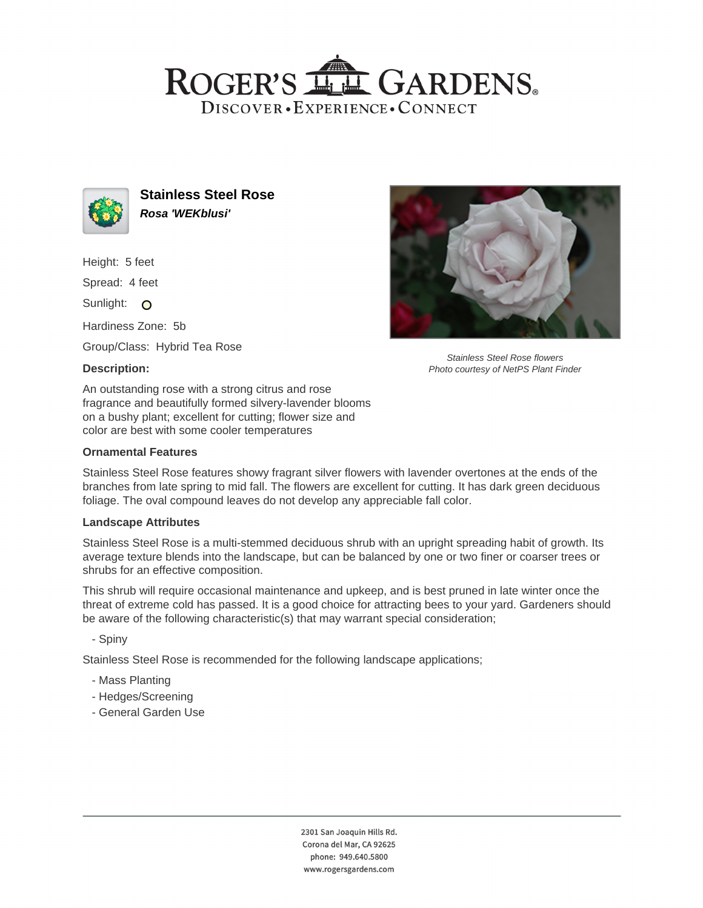# ROGER'S LL GARDENS. DISCOVER · EXPERIENCE · CONNECT



**Stainless Steel Rose Rosa 'WEKblusi'**

Height: 5 feet

Spread: 4 feet

Sunlight: O

Hardiness Zone: 5b

Group/Class: Hybrid Tea Rose

## **Description:**



Stainless Steel Rose flowers Photo courtesy of NetPS Plant Finder

An outstanding rose with a strong citrus and rose fragrance and beautifully formed silvery-lavender blooms on a bushy plant; excellent for cutting; flower size and color are best with some cooler temperatures

## **Ornamental Features**

Stainless Steel Rose features showy fragrant silver flowers with lavender overtones at the ends of the branches from late spring to mid fall. The flowers are excellent for cutting. It has dark green deciduous foliage. The oval compound leaves do not develop any appreciable fall color.

#### **Landscape Attributes**

Stainless Steel Rose is a multi-stemmed deciduous shrub with an upright spreading habit of growth. Its average texture blends into the landscape, but can be balanced by one or two finer or coarser trees or shrubs for an effective composition.

This shrub will require occasional maintenance and upkeep, and is best pruned in late winter once the threat of extreme cold has passed. It is a good choice for attracting bees to your yard. Gardeners should be aware of the following characteristic(s) that may warrant special consideration;

- Spiny

Stainless Steel Rose is recommended for the following landscape applications;

- Mass Planting
- Hedges/Screening
- General Garden Use

2301 San Joaquin Hills Rd. Corona del Mar, CA 92625 phone: 949.640.5800 www.rogersgardens.com